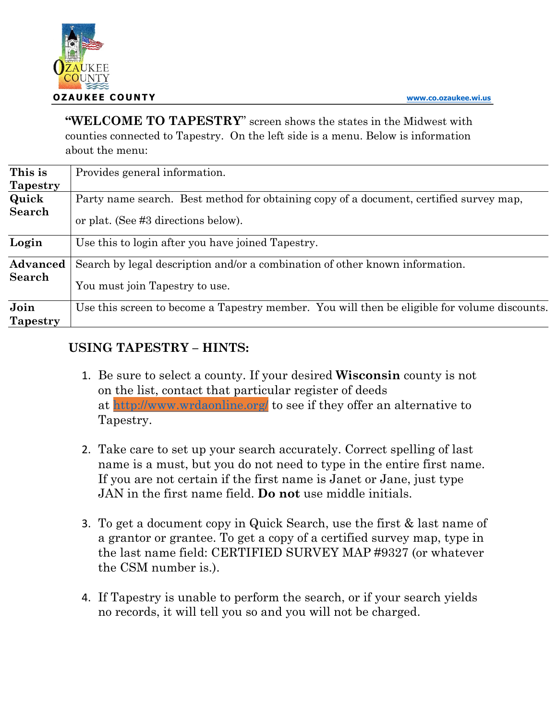**"WELCOME TO TAPESTRY**" screen shows the states in the Midwest with counties connected to Tapestry. On the left side is a menu. Below is information about the menu:

| This is         | Provides general information.                                                                |
|-----------------|----------------------------------------------------------------------------------------------|
| <b>Tapestry</b> |                                                                                              |
| Quick           | Party name search. Best method for obtaining copy of a document, certified survey map,       |
| Search          | or plat. (See #3 directions below).                                                          |
| Login           | Use this to login after you have joined Tapestry.                                            |
| <b>Advanced</b> | Search by legal description and/or a combination of other known information.                 |
| <b>Search</b>   | You must join Tapestry to use.                                                               |
| Join            | Use this screen to become a Tapestry member. You will then be eligible for volume discounts. |
| <b>Tapestry</b> |                                                                                              |

## **USING TAPESTRY – HINTS:**

- 1. Be sure to select a county. If your desired **Wisconsin** county is not on the list, contact that particular register of deeds at http://www.wrdaonline.org/ to see if they offer an alternative to Tapestry.
- 2. Take care to set up your search accurately. Correct spelling of last name is a must, but you do not need to type in the entire first name. If you are not certain if the first name is Janet or Jane, just type JAN in the first name field. **Do not** use middle initials.
- 3. To get a document copy in Quick Search, use the first & last name of a grantor or grantee. To get a copy of a certified survey map, type in the last name field: CERTIFIED SURVEY MAP #9327 (or whatever the CSM number is.).
- 4. If Tapestry is unable to perform the search, or if your search yields no records, it will tell you so and you will not be charged.